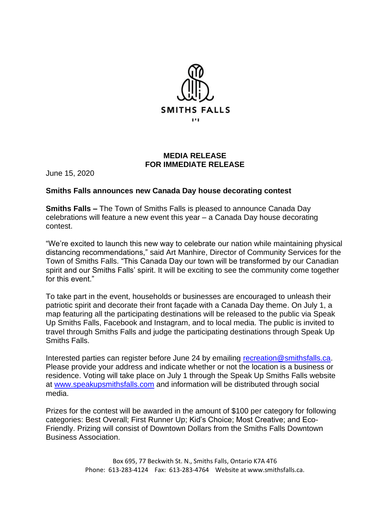

## **MEDIA RELEASE FOR IMMEDIATE RELEASE**

June 15, 2020

## **Smiths Falls announces new Canada Day house decorating contest**

**Smiths Falls –** The Town of Smiths Falls is pleased to announce Canada Day celebrations will feature a new event this year – a Canada Day house decorating contest.

"We're excited to launch this new way to celebrate our nation while maintaining physical distancing recommendations," said Art Manhire, Director of Community Services for the Town of Smiths Falls. "This Canada Day our town will be transformed by our Canadian spirit and our Smiths Falls' spirit. It will be exciting to see the community come together for this event."

To take part in the event, households or businesses are encouraged to unleash their patriotic spirit and decorate their front façade with a Canada Day theme. On July 1, a map featuring all the participating destinations will be released to the public via Speak Up Smiths Falls, Facebook and Instagram, and to local media. The public is invited to travel through Smiths Falls and judge the participating destinations through Speak Up Smiths Falls.

Interested parties can register before June 24 by emailing [recreation@smithsfalls.ca.](mailto:recreation@smithsfalls.ca) Please provide your address and indicate whether or not the location is a business or residence. Voting will take place on July 1 through the Speak Up Smiths Falls website at [www.speakupsmithsfalls.com](http://www.speakupsmithsfalls.com/) and information will be distributed through social media.

Prizes for the contest will be awarded in the amount of \$100 per category for following categories: Best Overall; First Runner Up; Kid's Choice; Most Creative; and Eco-Friendly. Prizing will consist of Downtown Dollars from the Smiths Falls Downtown Business Association.